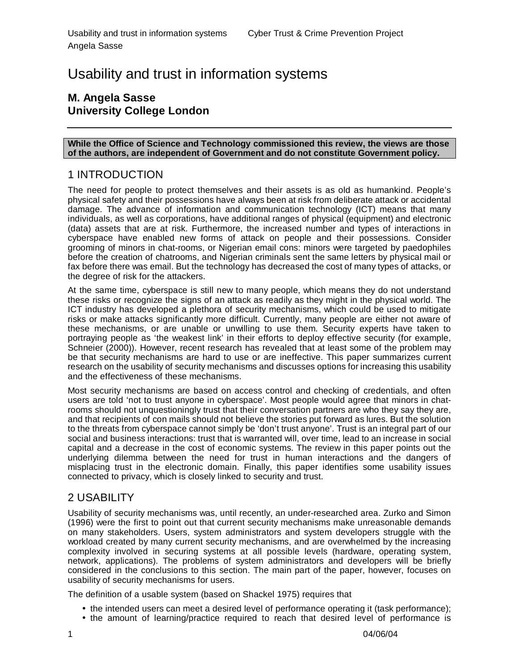# Usability and trust in information systems

# **M. Angela Sasse University College London**

**While the Office of Science and Technology commissioned this review, the views are those of the authors, are independent of Government and do not constitute Government policy.** 

# 1 INTRODUCTION

The need for people to protect themselves and their assets is as old as humankind. People's physical safety and their possessions have always been at risk from deliberate attack or accidental damage. The advance of information and communication technology (ICT) means that many individuals, as well as corporations, have additional ranges of physical (equipment) and electronic (data) assets that are at risk. Furthermore, the increased number and types of interactions in cyberspace have enabled new forms of attack on people and their possessions. Consider grooming of minors in chat-rooms, or Nigerian email cons: minors were targeted by paedophiles before the creation of chatrooms, and Nigerian criminals sent the same letters by physical mail or fax before there was email. But the technology has decreased the cost of many types of attacks, or the degree of risk for the attackers.

At the same time, cyberspace is still new to many people, which means they do not understand these risks or recognize the signs of an attack as readily as they might in the physical world. The ICT industry has developed a plethora of security mechanisms, which could be used to mitigate risks or make attacks significantly more difficult. Currently, many people are either not aware of these mechanisms, or are unable or unwilling to use them. Security experts have taken to portraying people as 'the weakest link' in their efforts to deploy effective security (for example, Schneier (2000)). However, recent research has revealed that at least some of the problem may be that security mechanisms are hard to use or are ineffective. This paper summarizes current research on the usability of security mechanisms and discusses options for increasing this usability and the effectiveness of these mechanisms.

Most security mechanisms are based on access control and checking of credentials, and often users are told 'not to trust anyone in cyberspace'. Most people would agree that minors in chatrooms should not unquestioningly trust that their conversation partners are who they say they are, and that recipients of con mails should not believe the stories put forward as lures. But the solution to the threats from cyberspace cannot simply be 'don't trust anyone'. Trust is an integral part of our social and business interactions: trust that is warranted will, over time, lead to an increase in social capital and a decrease in the cost of economic systems. The review in this paper points out the underlying dilemma between the need for trust in human interactions and the dangers of misplacing trust in the electronic domain. Finally, this paper identifies some usability issues connected to privacy, which is closely linked to security and trust.

# 2 USABILITY

Usability of security mechanisms was, until recently, an under-researched area. Zurko and Simon (1996) were the first to point out that current security mechanisms make unreasonable demands on many stakeholders. Users, system administrators and system developers struggle with the workload created by many current security mechanisms, and are overwhelmed by the increasing complexity involved in securing systems at all possible levels (hardware, operating system, network, applications). The problems of system administrators and developers will be briefly considered in the conclusions to this section. The main part of the paper, however, focuses on usability of security mechanisms for users.

The definition of a usable system (based on Shackel 1975) requires that

- the intended users can meet a desired level of performance operating it (task performance);
- the amount of learning/practice required to reach that desired level of performance is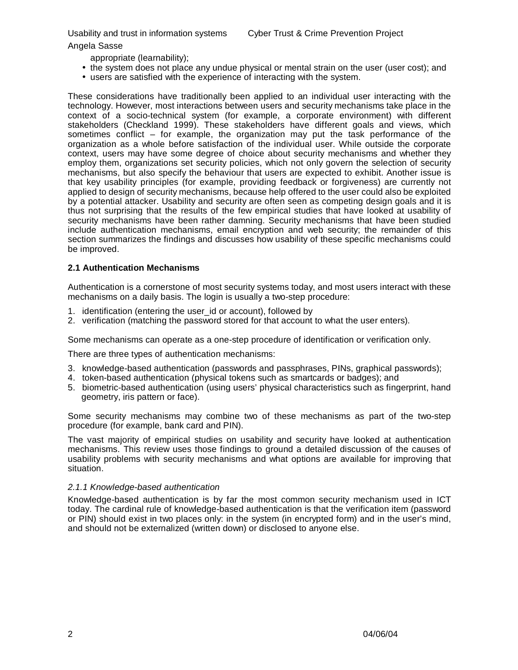#### Angela Sasse

appropriate (learnability);

- the system does not place any undue physical or mental strain on the user (user cost); and
- users are satisfied with the experience of interacting with the system.

These considerations have traditionally been applied to an individual user interacting with the technology. However, most interactions between users and security mechanisms take place in the context of a socio-technical system (for example, a corporate environment) with different stakeholders (Checkland 1999). These stakeholders have different goals and views, which sometimes conflict – for example, the organization may put the task performance of the organization as a whole before satisfaction of the individual user. While outside the corporate context, users may have some degree of choice about security mechanisms and whether they employ them, organizations set security policies, which not only govern the selection of security mechanisms, but also specify the behaviour that users are expected to exhibit. Another issue is that key usability principles (for example, providing feedback or forgiveness) are currently not applied to design of security mechanisms, because help offered to the user could also be exploited by a potential attacker. Usability and security are often seen as competing design goals and it is thus not surprising that the results of the few empirical studies that have looked at usability of security mechanisms have been rather damning. Security mechanisms that have been studied include authentication mechanisms, email encryption and web security; the remainder of this section summarizes the findings and discusses how usability of these specific mechanisms could be improved.

# **2.1 Authentication Mechanisms**

Authentication is a cornerstone of most security systems today, and most users interact with these mechanisms on a daily basis. The login is usually a two-step procedure:

- 1. identification (entering the user\_id or account), followed by
- 2. verification (matching the password stored for that account to what the user enters).

Some mechanisms can operate as a one-step procedure of identification or verification only.

There are three types of authentication mechanisms:

- 3. knowledge-based authentication (passwords and passphrases, PINs, graphical passwords);
- 4. token-based authentication (physical tokens such as smartcards or badges); and
- 5. biometric-based authentication (using users' physical characteristics such as fingerprint, hand geometry, iris pattern or face).

Some security mechanisms may combine two of these mechanisms as part of the two-step procedure (for example, bank card and PIN).

The vast majority of empirical studies on usability and security have looked at authentication mechanisms. This review uses those findings to ground a detailed discussion of the causes of usability problems with security mechanisms and what options are available for improving that situation.

#### 2.1.1 Knowledge-based authentication

Knowledge-based authentication is by far the most common security mechanism used in ICT today. The cardinal rule of knowledge-based authentication is that the verification item (password or PIN) should exist in two places only: in the system (in encrypted form) and in the user's mind, and should not be externalized (written down) or disclosed to anyone else.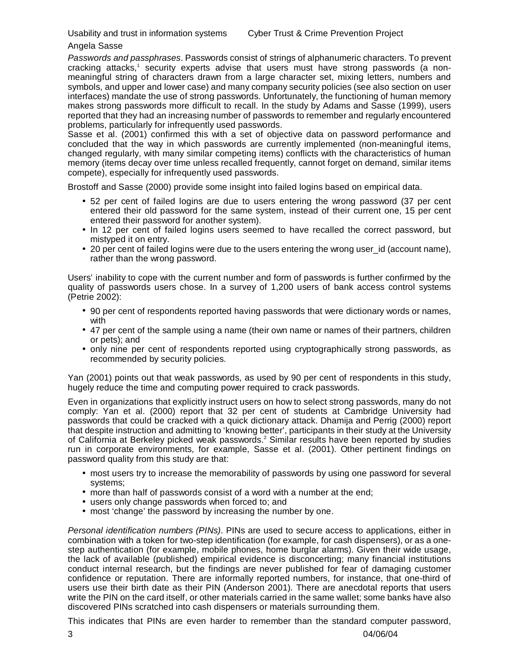#### Angela Sasse

Passwords and passphrases. Passwords consist of strings of alphanumeric characters. To prevent cracking attacks,<sup>1</sup> security experts advise that users must have strong passwords (a nonmeaningful string of characters drawn from a large character set, mixing letters, numbers and symbols, and upper and lower case) and many company security policies (see also section on user interfaces) mandate the use of strong passwords. Unfortunately, the functioning of human memory makes strong passwords more difficult to recall. In the study by Adams and Sasse (1999), users reported that they had an increasing number of passwords to remember and regularly encountered problems, particularly for infrequently used passwords.

Sasse et al. (2001) confirmed this with a set of objective data on password performance and concluded that the way in which passwords are currently implemented (non-meaningful items, changed regularly, with many similar competing items) conflicts with the characteristics of human memory (items decay over time unless recalled frequently, cannot forget on demand, similar items compete), especially for infrequently used passwords.

Brostoff and Sasse (2000) provide some insight into failed logins based on empirical data.

- 52 per cent of failed logins are due to users entering the wrong password (37 per cent entered their old password for the same system, instead of their current one, 15 per cent entered their password for another system).
- In 12 per cent of failed logins users seemed to have recalled the correct password, but mistyped it on entry.
- 20 per cent of failed logins were due to the users entering the wrong user\_id (account name), rather than the wrong password.

Users' inability to cope with the current number and form of passwords is further confirmed by the quality of passwords users chose. In a survey of 1,200 users of bank access control systems (Petrie 2002):

- 90 per cent of respondents reported having passwords that were dictionary words or names, with
- 47 per cent of the sample using a name (their own name or names of their partners, children or pets); and
- only nine per cent of respondents reported using cryptographically strong passwords, as recommended by security policies.

Yan (2001) points out that weak passwords, as used by 90 per cent of respondents in this study, hugely reduce the time and computing power required to crack passwords.

Even in organizations that explicitly instruct users on how to select strong passwords, many do not comply: Yan et al. (2000) report that 32 per cent of students at Cambridge University had passwords that could be cracked with a quick dictionary attack. Dhamija and Perrig (2000) report that despite instruction and admitting to 'knowing better', participants in their study at the University of California at Berkeley picked weak passwords.<sup>2</sup> Similar results have been reported by studies run in corporate environments, for example, Sasse et al. (2001). Other pertinent findings on password quality from this study are that:

- most users try to increase the memorability of passwords by using one password for several systems;
- more than half of passwords consist of a word with a number at the end;
- users only change passwords when forced to; and
- most 'change' the password by increasing the number by one.

Personal identification numbers (PINs). PINs are used to secure access to applications, either in combination with a token for two-step identification (for example, for cash dispensers), or as a onestep authentication (for example, mobile phones, home burglar alarms). Given their wide usage, the lack of available (published) empirical evidence is disconcerting; many financial institutions conduct internal research, but the findings are never published for fear of damaging customer confidence or reputation. There are informally reported numbers, for instance, that one-third of users use their birth date as their PIN (Anderson 2001). There are anecdotal reports that users write the PIN on the card itself, or other materials carried in the same wallet; some banks have also discovered PINs scratched into cash dispensers or materials surrounding them.

This indicates that PINs are even harder to remember than the standard computer password,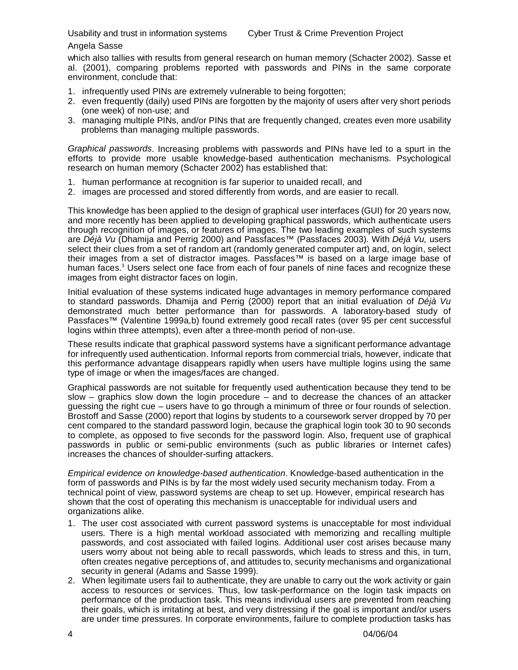# Angela Sasse

which also tallies with results from general research on human memory (Schacter 2002). Sasse et al. (2001), comparing problems reported with passwords and PINs in the same corporate environment, conclude that:

- 1. infrequently used PINs are extremely vulnerable to being forgotten;
- 2. even frequently (daily) used PINs are forgotten by the majority of users after very short periods (one week) of non-use; and
- 3. managing multiple PINs, and/or PINs that are frequently changed, creates even more usability problems than managing multiple passwords.

Graphical passwords. Increasing problems with passwords and PINs have led to a spurt in the efforts to provide more usable knowledge-based authentication mechanisms. Psychological research on human memory (Schacter 2002) has established that:

- 1. human performance at recognition is far superior to unaided recall, and
- 2. images are processed and stored differently from words, and are easier to recall.

This knowledge has been applied to the design of graphical user interfaces (GUI) for 20 years now, and more recently has been applied to developing graphical passwords, which authenticate users through recognition of images, or features of images. The two leading examples of such systems are Déjà Vu (Dhamija and Perrig 2000) and Passfaces™ (Passfaces 2003). With Déjà Vu, users select their clues from a set of random art (randomly generated computer art) and, on login, select their images from a set of distractor images. Passfaces™ is based on a large image base of human faces.<sup>3</sup> Users select one face from each of four panels of nine faces and recognize these images from eight distractor faces on login.

Initial evaluation of these systems indicated huge advantages in memory performance compared to standard passwords. Dhamija and Perrig (2000) report that an initial evaluation of  $D\acute{e}$ jà Vu demonstrated much better performance than for passwords. A laboratory-based study of Passfaces™ (Valentine 1999a,b) found extremely good recall rates (over 95 per cent successful logins within three attempts), even after a three-month period of non-use.

These results indicate that graphical password systems have a significant performance advantage for infrequently used authentication. Informal reports from commercial trials, however, indicate that this performance advantage disappears rapidly when users have multiple logins using the same type of image or when the images/faces are changed.

Graphical passwords are not suitable for frequently used authentication because they tend to be slow – graphics slow down the login procedure – and to decrease the chances of an attacker guessing the right cue – users have to go through a minimum of three or four rounds of selection. Brostoff and Sasse (2000) report that logins by students to a coursework server dropped by 70 per cent compared to the standard password login, because the graphical login took 30 to 90 seconds to complete, as opposed to five seconds for the password login. Also, frequent use of graphical passwords in public or semi-public environments (such as public libraries or Internet cafes) increases the chances of shoulder-surfing attackers.

Empirical evidence on knowledge-based authentication. Knowledge-based authentication in the form of passwords and PINs is by far the most widely used security mechanism today. From a technical point of view, password systems are cheap to set up. However, empirical research has shown that the cost of operating this mechanism is unacceptable for individual users and organizations alike.

- 1. The user cost associated with current password systems is unacceptable for most individual users. There is a high mental workload associated with memorizing and recalling multiple passwords, and cost associated with failed logins. Additional user cost arises because many users worry about not being able to recall passwords, which leads to stress and this, in turn, often creates negative perceptions of, and attitudes to, security mechanisms and organizational security in general (Adams and Sasse 1999).
- 2. When legitimate users fail to authenticate, they are unable to carry out the work activity or gain access to resources or services. Thus, low task-performance on the login task impacts on performance of the production task. This means individual users are prevented from reaching their goals, which is irritating at best, and very distressing if the goal is important and/or users are under time pressures. In corporate environments, failure to complete production tasks has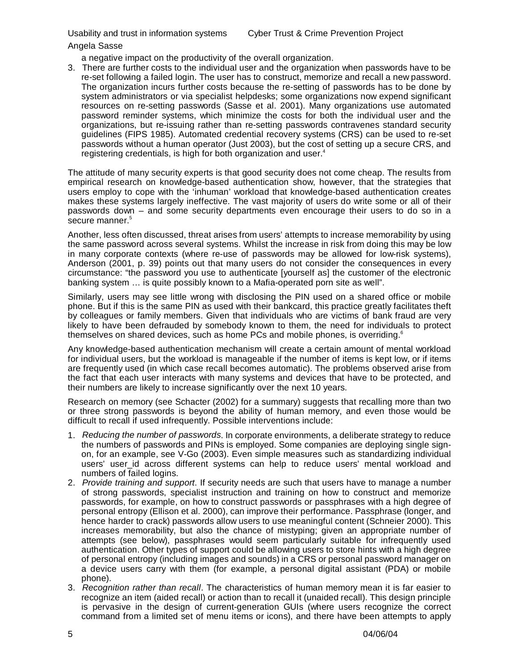a negative impact on the productivity of the overall organization.

3. There are further costs to the individual user and the organization when passwords have to be re-set following a failed login. The user has to construct, memorize and recall a new password. The organization incurs further costs because the re-setting of passwords has to be done by system administrators or via specialist helpdesks; some organizations now expend significant resources on re-setting passwords (Sasse et al. 2001). Many organizations use automated password reminder systems, which minimize the costs for both the individual user and the organizations, but re-issuing rather than re-setting passwords contravenes standard security guidelines (FIPS 1985). Automated credential recovery systems (CRS) can be used to re-set passwords without a human operator (Just 2003), but the cost of setting up a secure CRS, and registering credentials, is high for both organization and user.<sup>4</sup>

The attitude of many security experts is that good security does not come cheap. The results from empirical research on knowledge-based authentication show, however, that the strategies that users employ to cope with the 'inhuman' workload that knowledge-based authentication creates makes these systems largely ineffective. The vast majority of users do write some or all of their passwords down – and some security departments even encourage their users to do so in a secure manner.<sup>5</sup>

Another, less often discussed, threat arises from users' attempts to increase memorability by using the same password across several systems. Whilst the increase in risk from doing this may be low in many corporate contexts (where re-use of passwords may be allowed for low-risk systems), Anderson (2001, p. 39) points out that many users do not consider the consequences in every circumstance: "the password you use to authenticate [yourself as] the customer of the electronic banking system … is quite possibly known to a Mafia-operated porn site as well".

Similarly, users may see little wrong with disclosing the PIN used on a shared office or mobile phone. But if this is the same PIN as used with their bankcard, this practice greatly facilitates theft by colleagues or family members. Given that individuals who are victims of bank fraud are very likely to have been defrauded by somebody known to them, the need for individuals to protect themselves on shared devices, such as home PCs and mobile phones, is overriding.<sup>6</sup>

Any knowledge-based authentication mechanism will create a certain amount of mental workload for individual users, but the workload is manageable if the number of items is kept low, or if items are frequently used (in which case recall becomes automatic). The problems observed arise from the fact that each user interacts with many systems and devices that have to be protected, and their numbers are likely to increase significantly over the next 10 years.

Research on memory (see Schacter (2002) for a summary) suggests that recalling more than two or three strong passwords is beyond the ability of human memory, and even those would be difficult to recall if used infrequently. Possible interventions include:

- 1. Reducing the number of passwords. In corporate environments, a deliberate strategy to reduce the numbers of passwords and PINs is employed. Some companies are deploying single signon, for an example, see V-Go (2003). Even simple measures such as standardizing individual users' user id across different systems can help to reduce users' mental workload and numbers of failed logins.
- 2. Provide training and support. If security needs are such that users have to manage a number of strong passwords, specialist instruction and training on how to construct and memorize passwords, for example, on how to construct passwords or passphrases with a high degree of personal entropy (Ellison et al. 2000), can improve their performance. Passphrase (longer, and hence harder to crack) passwords allow users to use meaningful content (Schneier 2000). This increases memorability, but also the chance of mistyping; given an appropriate number of attempts (see below), passphrases would seem particularly suitable for infrequently used authentication. Other types of support could be allowing users to store hints with a high degree of personal entropy (including images and sounds) in a CRS or personal password manager on a device users carry with them (for example, a personal digital assistant (PDA) or mobile phone).
- 3. Recognition rather than recall. The characteristics of human memory mean it is far easier to recognize an item (aided recall) or action than to recall it (unaided recall). This design principle is pervasive in the design of current-generation GUIs (where users recognize the correct command from a limited set of menu items or icons), and there have been attempts to apply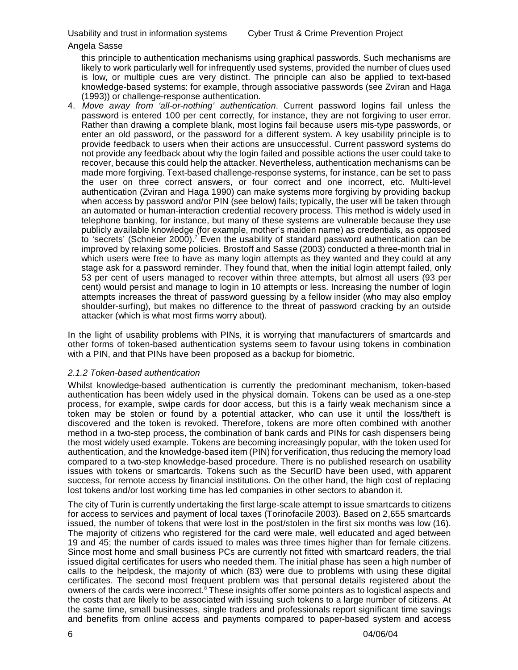### Angela Sasse

this principle to authentication mechanisms using graphical passwords. Such mechanisms are likely to work particularly well for infrequently used systems, provided the number of clues used is low, or multiple cues are very distinct. The principle can also be applied to text-based knowledge-based systems: for example, through associative passwords (see Zviran and Haga (1993)) or challenge-response authentication.

4. Move away from 'all-or-nothing' authentication. Current password logins fail unless the password is entered 100 per cent correctly, for instance, they are not forgiving to user error. Rather than drawing a complete blank, most logins fail because users mis-type passwords, or enter an old password, or the password for a different system. A key usability principle is to provide feedback to users when their actions are unsuccessful. Current password systems do not provide any feedback about why the login failed and possible actions the user could take to recover, because this could help the attacker. Nevertheless, authentication mechanisms can be made more forgiving. Text-based challenge-response systems, for instance, can be set to pass the user on three correct answers, or four correct and one incorrect, etc. Multi-level authentication (Zviran and Haga 1990) can make systems more forgiving by providing backup when access by password and/or PIN (see below) fails; typically, the user will be taken through an automated or human-interaction credential recovery process. This method is widely used in telephone banking, for instance, but many of these systems are vulnerable because they use publicly available knowledge (for example, mother's maiden name) as credentials, as opposed to 'secrets' (Schneier 2000).<sup>7</sup> Even the usability of standard password authentication can be improved by relaxing some policies. Brostoff and Sasse (2003) conducted a three-month trial in which users were free to have as many login attempts as they wanted and they could at any stage ask for a password reminder. They found that, when the initial login attempt failed, only 53 per cent of users managed to recover within three attempts, but almost all users (93 per cent) would persist and manage to login in 10 attempts or less. Increasing the number of login attempts increases the threat of password guessing by a fellow insider (who may also employ shoulder-surfing), but makes no difference to the threat of password cracking by an outside attacker (which is what most firms worry about).

In the light of usability problems with PINs, it is worrying that manufacturers of smartcards and other forms of token-based authentication systems seem to favour using tokens in combination with a PIN, and that PINs have been proposed as a backup for biometric.

# 2.1.2 Token-based authentication

Whilst knowledge-based authentication is currently the predominant mechanism, token-based authentication has been widely used in the physical domain. Tokens can be used as a one-step process, for example, swipe cards for door access, but this is a fairly weak mechanism since a token may be stolen or found by a potential attacker, who can use it until the loss/theft is discovered and the token is revoked. Therefore, tokens are more often combined with another method in a two-step process, the combination of bank cards and PINs for cash dispensers being the most widely used example. Tokens are becoming increasingly popular, with the token used for authentication, and the knowledge-based item (PIN) for verification, thus reducing the memory load compared to a two-step knowledge-based procedure. There is no published research on usability issues with tokens or smartcards. Tokens such as the SecurID have been used, with apparent success, for remote access by financial institutions. On the other hand, the high cost of replacing lost tokens and/or lost working time has led companies in other sectors to abandon it.

The city of Turin is currently undertaking the first large-scale attempt to issue smartcards to citizens for access to services and payment of local taxes (Torinofacile 2003). Based on 2,655 smartcards issued, the number of tokens that were lost in the post/stolen in the first six months was low (16). The majority of citizens who registered for the card were male, well educated and aged between 19 and 45; the number of cards issued to males was three times higher than for female citizens. Since most home and small business PCs are currently not fitted with smartcard readers, the trial issued digital certificates for users who needed them. The initial phase has seen a high number of calls to the helpdesk, the majority of which (83) were due to problems with using these digital certificates. The second most frequent problem was that personal details registered about the owners of the cards were incorrect.<sup>8</sup> These insights offer some pointers as to logistical aspects and the costs that are likely to be associated with issuing such tokens to a large number of citizens. At the same time, small businesses, single traders and professionals report significant time savings and benefits from online access and payments compared to paper-based system and access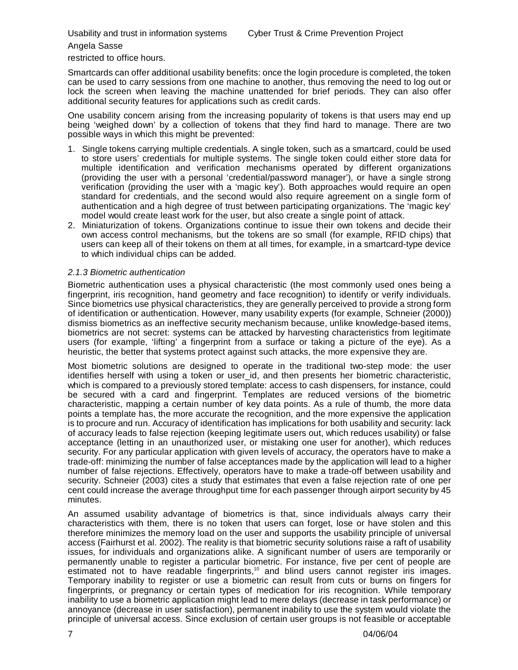Angela Sasse

restricted to office hours.

Smartcards can offer additional usability benefits: once the login procedure is completed, the token can be used to carry sessions from one machine to another, thus removing the need to log out or lock the screen when leaving the machine unattended for brief periods. They can also offer additional security features for applications such as credit cards.

One usability concern arising from the increasing popularity of tokens is that users may end up being 'weighed down' by a collection of tokens that they find hard to manage. There are two possible ways in which this might be prevented:

- 1. Single tokens carrying multiple credentials. A single token, such as a smartcard, could be used to store users' credentials for multiple systems. The single token could either store data for multiple identification and verification mechanisms operated by different organizations (providing the user with a personal 'credential/password manager'), or have a single strong verification (providing the user with a 'magic key'). Both approaches would require an open standard for credentials, and the second would also require agreement on a single form of authentication and a high degree of trust between participating organizations. The 'magic key' model would create least work for the user, but also create a single point of attack.
- 2. Miniaturization of tokens. Organizations continue to issue their own tokens and decide their own access control mechanisms, but the tokens are so small (for example, RFID chips) that users can keep all of their tokens on them at all times, for example, in a smartcard-type device to which individual chips can be added.

### 2.1.3 Biometric authentication

Biometric authentication uses a physical characteristic (the most commonly used ones being a fingerprint, iris recognition, hand geometry and face recognition) to identify or verify individuals. Since biometrics use physical characteristics, they are generally perceived to provide a strong form of identification or authentication. However, many usability experts (for example, Schneier (2000)) dismiss biometrics as an ineffective security mechanism because, unlike knowledge-based items, biometrics are not secret: systems can be attacked by harvesting characteristics from legitimate users (for example, 'lifting' a fingerprint from a surface or taking a picture of the eye). As a heuristic, the better that systems protect against such attacks, the more expensive they are.

Most biometric solutions are designed to operate in the traditional two-step mode: the user identifies herself with using a token or user\_id, and then presents her biometric characteristic, which is compared to a previously stored template: access to cash dispensers, for instance, could be secured with a card and fingerprint. Templates are reduced versions of the biometric characteristic, mapping a certain number of key data points. As a rule of thumb, the more data points a template has, the more accurate the recognition, and the more expensive the application is to procure and run. Accuracy of identification has implications for both usability and security: lack of accuracy leads to false rejection (keeping legitimate users out, which reduces usability) or false acceptance (letting in an unauthorized user, or mistaking one user for another), which reduces security. For any particular application with given levels of accuracy, the operators have to make a trade-off: minimizing the number of false acceptances made by the application will lead to a higher number of false rejections. Effectively, operators have to make a trade-off between usability and security. Schneier (2003) cites a study that estimates that even a false rejection rate of one per cent could increase the average throughput time for each passenger through airport security by 45 minutes.

An assumed usability advantage of biometrics is that, since individuals always carry their characteristics with them, there is no token that users can forget, lose or have stolen and this therefore minimizes the memory load on the user and supports the usability principle of universal access (Fairhurst et al. 2002). The reality is that biometric security solutions raise a raft of usability issues, for individuals and organizations alike. A significant number of users are temporarily or permanently unable to register a particular biometric. For instance, five per cent of people are estimated not to have readable fingerprints,<sup>10</sup> and blind users cannot register iris images. Temporary inability to register or use a biometric can result from cuts or burns on fingers for fingerprints, or pregnancy or certain types of medication for iris recognition. While temporary inability to use a biometric application might lead to mere delays (decrease in task performance) or annoyance (decrease in user satisfaction), permanent inability to use the system would violate the principle of universal access. Since exclusion of certain user groups is not feasible or acceptable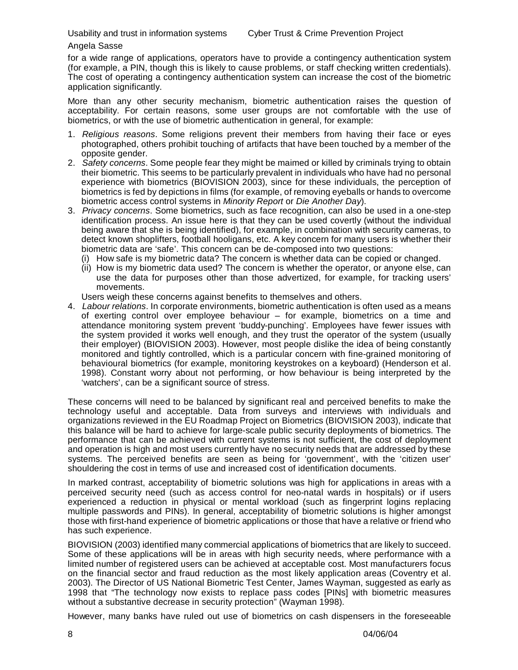#### Angela Sasse

for a wide range of applications, operators have to provide a contingency authentication system (for example, a PIN, though this is likely to cause problems, or staff checking written credentials). The cost of operating a contingency authentication system can increase the cost of the biometric application significantly.

More than any other security mechanism, biometric authentication raises the question of acceptability. For certain reasons, some user groups are not comfortable with the use of biometrics, or with the use of biometric authentication in general, for example:

- 1. Religious reasons. Some religions prevent their members from having their face or eyes photographed, others prohibit touching of artifacts that have been touched by a member of the opposite gender.
- 2. Safety concerns. Some people fear they might be maimed or killed by criminals trying to obtain their biometric. This seems to be particularly prevalent in individuals who have had no personal experience with biometrics (BIOVISION 2003), since for these individuals, the perception of biometrics is fed by depictions in films (for example, of removing eyeballs or hands to overcome biometric access control systems in Minority Report or Die Another Day).
- 3. Privacy concerns. Some biometrics, such as face recognition, can also be used in a one-step identification process. An issue here is that they can be used covertly (without the individual being aware that she is being identified), for example, in combination with security cameras, to detect known shoplifters, football hooligans, etc. A key concern for many users is whether their biometric data are 'safe'. This concern can be de-composed into two questions:
	- (i) How safe is my biometric data? The concern is whether data can be copied or changed.
	- (ii) How is my biometric data used? The concern is whether the operator, or anyone else, can use the data for purposes other than those advertized, for example, for tracking users' movements.
	- Users weigh these concerns against benefits to themselves and others.
- 4. Labour relations. In corporate environments, biometric authentication is often used as a means of exerting control over employee behaviour – for example, biometrics on a time and attendance monitoring system prevent 'buddy-punching'. Employees have fewer issues with the system provided it works well enough, and they trust the operator of the system (usually their employer) (BIOVISION 2003). However, most people dislike the idea of being constantly monitored and tightly controlled, which is a particular concern with fine-grained monitoring of behavioural biometrics (for example, monitoring keystrokes on a keyboard) (Henderson et al. 1998). Constant worry about not performing, or how behaviour is being interpreted by the 'watchers', can be a significant source of stress.

These concerns will need to be balanced by significant real and perceived benefits to make the technology useful and acceptable. Data from surveys and interviews with individuals and organizations reviewed in the EU Roadmap Project on Biometrics (BIOVISION 2003), indicate that this balance will be hard to achieve for large-scale public security deployments of biometrics. The performance that can be achieved with current systems is not sufficient, the cost of deployment and operation is high and most users currently have no security needs that are addressed by these systems. The perceived benefits are seen as being for 'government', with the 'citizen user' shouldering the cost in terms of use and increased cost of identification documents.

In marked contrast, acceptability of biometric solutions was high for applications in areas with a perceived security need (such as access control for neo-natal wards in hospitals) or if users experienced a reduction in physical or mental workload (such as fingerprint logins replacing multiple passwords and PINs). In general, acceptability of biometric solutions is higher amongst those with first-hand experience of biometric applications or those that have a relative or friend who has such experience.

BIOVISION (2003) identified many commercial applications of biometrics that are likely to succeed. Some of these applications will be in areas with high security needs, where performance with a limited number of registered users can be achieved at acceptable cost. Most manufacturers focus on the financial sector and fraud reduction as the most likely application areas (Coventry et al. 2003). The Director of US National Biometric Test Center, James Wayman, suggested as early as 1998 that "The technology now exists to replace pass codes [PINs] with biometric measures without a substantive decrease in security protection" (Wayman 1998).

However, many banks have ruled out use of biometrics on cash dispensers in the foreseeable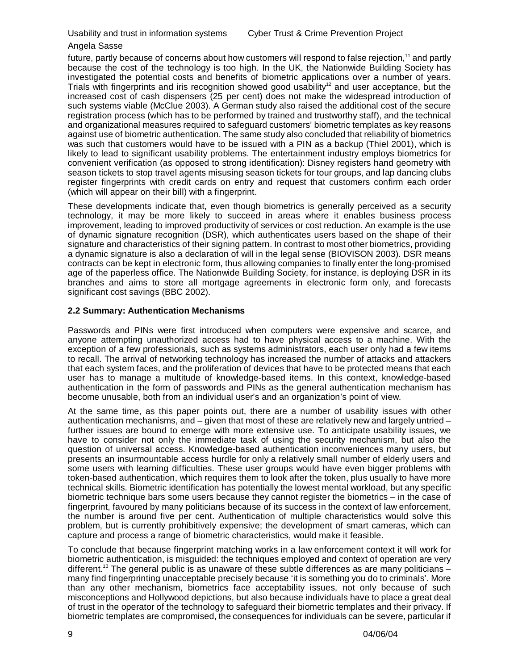### Angela Sasse

future, partly because of concerns about how customers will respond to false rejection,<sup>11</sup> and partly because the cost of the technology is too high. In the UK, the Nationwide Building Society has investigated the potential costs and benefits of biometric applications over a number of years. Trials with fingerprints and iris recognition showed good usability<sup>12</sup> and user acceptance, but the increased cost of cash dispensers (25 per cent) does not make the widespread introduction of such systems viable (McClue 2003). A German study also raised the additional cost of the secure registration process (which has to be performed by trained and trustworthy staff), and the technical and organizational measures required to safeguard customers' biometric templates as key reasons against use of biometric authentication. The same study also concluded that reliability of biometrics was such that customers would have to be issued with a PIN as a backup (Thiel 2001), which is likely to lead to significant usability problems. The entertainment industry employs biometrics for convenient verification (as opposed to strong identification): Disney registers hand geometry with season tickets to stop travel agents misusing season tickets for tour groups, and lap dancing clubs register fingerprints with credit cards on entry and request that customers confirm each order (which will appear on their bill) with a fingerprint.

These developments indicate that, even though biometrics is generally perceived as a security technology, it may be more likely to succeed in areas where it enables business process improvement, leading to improved productivity of services or cost reduction. An example is the use of dynamic signature recognition (DSR), which authenticates users based on the shape of their signature and characteristics of their signing pattern. In contrast to most other biometrics, providing a dynamic signature is also a declaration of will in the legal sense (BIOVISON 2003). DSR means contracts can be kept in electronic form, thus allowing companies to finally enter the long-promised age of the paperless office. The Nationwide Building Society, for instance, is deploying DSR in its branches and aims to store all mortgage agreements in electronic form only, and forecasts significant cost savings (BBC 2002).

### **2.2 Summary: Authentication Mechanisms**

Passwords and PINs were first introduced when computers were expensive and scarce, and anyone attempting unauthorized access had to have physical access to a machine. With the exception of a few professionals, such as systems administrators, each user only had a few items to recall. The arrival of networking technology has increased the number of attacks and attackers that each system faces, and the proliferation of devices that have to be protected means that each user has to manage a multitude of knowledge-based items. In this context, knowledge-based authentication in the form of passwords and PINs as the general authentication mechanism has become unusable, both from an individual user's and an organization's point of view.

At the same time, as this paper points out, there are a number of usability issues with other authentication mechanisms, and – given that most of these are relatively new and largely untried – further issues are bound to emerge with more extensive use. To anticipate usability issues, we have to consider not only the immediate task of using the security mechanism, but also the question of universal access. Knowledge-based authentication inconveniences many users, but presents an insurmountable access hurdle for only a relatively small number of elderly users and some users with learning difficulties. These user groups would have even bigger problems with token-based authentication, which requires them to look after the token, plus usually to have more technical skills. Biometric identification has potentially the lowest mental workload, but any specific biometric technique bars some users because they cannot register the biometrics – in the case of fingerprint, favoured by many politicians because of its success in the context of law enforcement, the number is around five per cent. Authentication of multiple characteristics would solve this problem, but is currently prohibitively expensive; the development of smart cameras, which can capture and process a range of biometric characteristics, would make it feasible.

To conclude that because fingerprint matching works in a law enforcement context it will work for biometric authentication, is misguided: the techniques employed and context of operation are very different.<sup>13</sup> The general public is as unaware of these subtle differences as are many politicians  $$ many find fingerprinting unacceptable precisely because 'it is something you do to criminals'. More than any other mechanism, biometrics face acceptability issues, not only because of such misconceptions and Hollywood depictions, but also because individuals have to place a great deal of trust in the operator of the technology to safeguard their biometric templates and their privacy. If biometric templates are compromised, the consequences for individuals can be severe, particular if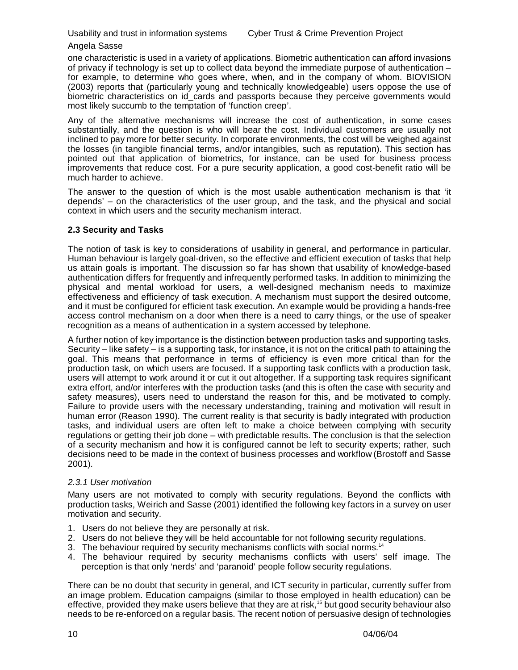#### Angela Sasse

one characteristic is used in a variety of applications. Biometric authentication can afford invasions of privacy if technology is set up to collect data beyond the immediate purpose of authentication – for example, to determine who goes where, when, and in the company of whom. BIOVISION (2003) reports that (particularly young and technically knowledgeable) users oppose the use of biometric characteristics on id\_cards and passports because they perceive governments would most likely succumb to the temptation of 'function creep'.

Any of the alternative mechanisms will increase the cost of authentication, in some cases substantially, and the question is who will bear the cost. Individual customers are usually not inclined to pay more for better security. In corporate environments, the cost will be weighed against the losses (in tangible financial terms, and/or intangibles, such as reputation). This section has pointed out that application of biometrics, for instance, can be used for business process improvements that reduce cost. For a pure security application, a good cost-benefit ratio will be much harder to achieve.

The answer to the question of which is the most usable authentication mechanism is that 'it depends' – on the characteristics of the user group, and the task, and the physical and social context in which users and the security mechanism interact.

### **2.3 Security and Tasks**

The notion of task is key to considerations of usability in general, and performance in particular. Human behaviour is largely goal-driven, so the effective and efficient execution of tasks that help us attain goals is important. The discussion so far has shown that usability of knowledge-based authentication differs for frequently and infrequently performed tasks. In addition to minimizing the physical and mental workload for users, a well-designed mechanism needs to maximize effectiveness and efficiency of task execution. A mechanism must support the desired outcome, and it must be configured for efficient task execution. An example would be providing a hands-free access control mechanism on a door when there is a need to carry things, or the use of speaker recognition as a means of authentication in a system accessed by telephone.

A further notion of key importance is the distinction between production tasks and supporting tasks. Security – like safety – is a supporting task, for instance, it is not on the critical path to attaining the goal. This means that performance in terms of efficiency is even more critical than for the production task, on which users are focused. If a supporting task conflicts with a production task, users will attempt to work around it or cut it out altogether. If a supporting task requires significant extra effort, and/or interferes with the production tasks (and this is often the case with security and safety measures), users need to understand the reason for this, and be motivated to comply. Failure to provide users with the necessary understanding, training and motivation will result in human error (Reason 1990). The current reality is that security is badly integrated with production tasks, and individual users are often left to make a choice between complying with security regulations or getting their job done – with predictable results. The conclusion is that the selection of a security mechanism and how it is configured cannot be left to security experts; rather, such decisions need to be made in the context of business processes and workflow (Brostoff and Sasse 2001).

#### 2.3.1 User motivation

Many users are not motivated to comply with security regulations. Beyond the conflicts with production tasks, Weirich and Sasse (2001) identified the following key factors in a survey on user motivation and security.

- 1. Users do not believe they are personally at risk.
- 2. Users do not believe they will be held accountable for not following security regulations.
- 3. The behaviour required by security mechanisms conflicts with social norms.<sup>14</sup>
- 4. The behaviour required by security mechanisms conflicts with users' self image. The perception is that only 'nerds' and 'paranoid' people follow security regulations.

There can be no doubt that security in general, and ICT security in particular, currently suffer from an image problem. Education campaigns (similar to those employed in health education) can be effective, provided they make users believe that they are at risk,<sup>15</sup> but good security behaviour also needs to be re-enforced on a regular basis. The recent notion of persuasive design of technologies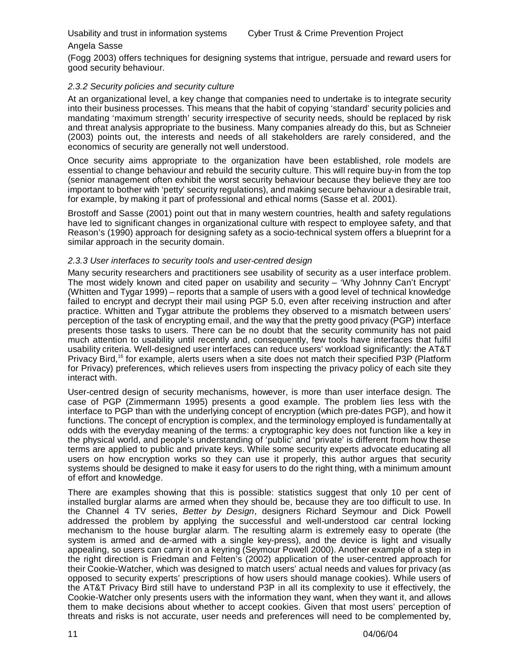#### Angela Sasse

(Fogg 2003) offers techniques for designing systems that intrigue, persuade and reward users for good security behaviour.

# 2.3.2 Security policies and security culture

At an organizational level, a key change that companies need to undertake is to integrate security into their business processes. This means that the habit of copying 'standard' security policies and mandating 'maximum strength' security irrespective of security needs, should be replaced by risk and threat analysis appropriate to the business. Many companies already do this, but as Schneier (2003) points out, the interests and needs of all stakeholders are rarely considered, and the economics of security are generally not well understood.

Once security aims appropriate to the organization have been established, role models are essential to change behaviour and rebuild the security culture. This will require buy-in from the top (senior management often exhibit the worst security behaviour because they believe they are too important to bother with 'petty' security regulations), and making secure behaviour a desirable trait, for example, by making it part of professional and ethical norms (Sasse et al. 2001).

Brostoff and Sasse (2001) point out that in many western countries, health and safety regulations have led to significant changes in organizational culture with respect to employee safety, and that Reason's (1990) approach for designing safety as a socio-technical system offers a blueprint for a similar approach in the security domain.

# 2.3.3 User interfaces to security tools and user-centred design

Many security researchers and practitioners see usability of security as a user interface problem. The most widely known and cited paper on usability and security – 'Why Johnny Can't Encrypt' (Whitten and Tygar 1999) – reports that a sample of users with a good level of technical knowledge failed to encrypt and decrypt their mail using PGP 5.0, even after receiving instruction and after practice. Whitten and Tygar attribute the problems they observed to a mismatch between users' perception of the task of encrypting email, and the way that the pretty good privacy (PGP) interface presents those tasks to users. There can be no doubt that the security community has not paid much attention to usability until recently and, consequently, few tools have interfaces that fulfil usability criteria. Well-designed user interfaces can reduce users' workload significantly: the AT&T Privacy Bird,<sup>16</sup> for example, alerts users when a site does not match their specified P3P (Platform for Privacy) preferences, which relieves users from inspecting the privacy policy of each site they interact with.

User-centred design of security mechanisms, however, is more than user interface design. The case of PGP (Zimmermann 1995) presents a good example. The problem lies less with the interface to PGP than with the underlying concept of encryption (which pre-dates PGP), and how it functions. The concept of encryption is complex, and the terminology employed is fundamentally at odds with the everyday meaning of the terms: a cryptographic key does not function like a key in the physical world, and people's understanding of 'public' and 'private' is different from how these terms are applied to public and private keys. While some security experts advocate educating all users on how encryption works so they can use it properly, this author argues that security systems should be designed to make it easy for users to do the right thing, with a minimum amount of effort and knowledge.

There are examples showing that this is possible: statistics suggest that only 10 per cent of installed burglar alarms are armed when they should be, because they are too difficult to use. In the Channel 4 TV series, Better by Design, designers Richard Seymour and Dick Powell addressed the problem by applying the successful and well-understood car central locking mechanism to the house burglar alarm. The resulting alarm is extremely easy to operate (the system is armed and de-armed with a single key-press), and the device is light and visually appealing, so users can carry it on a keyring (Seymour Powell 2000). Another example of a step in the right direction is Friedman and Felten's (2002) application of the user-centred approach for their Cookie-Watcher, which was designed to match users' actual needs and values for privacy (as opposed to security experts' prescriptions of how users should manage cookies). While users of the AT&T Privacy Bird still have to understand P3P in all its complexity to use it effectively, the Cookie-Watcher only presents users with the information they want, when they want it, and allows them to make decisions about whether to accept cookies. Given that most users' perception of threats and risks is not accurate, user needs and preferences will need to be complemented by,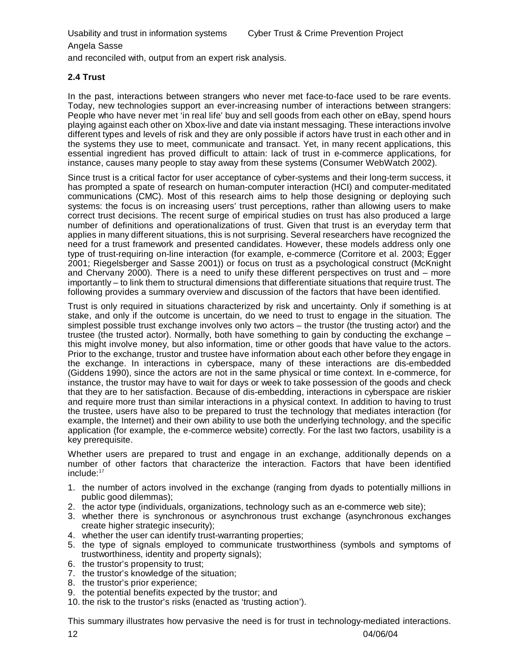and reconciled with, output from an expert risk analysis.

# **2.4 Trust**

In the past, interactions between strangers who never met face-to-face used to be rare events. Today, new technologies support an ever-increasing number of interactions between strangers: People who have never met 'in real life' buy and sell goods from each other on eBay, spend hours playing against each other on Xbox-live and date via instant messaging. These interactions involve different types and levels of risk and they are only possible if actors have trust in each other and in the systems they use to meet, communicate and transact. Yet, in many recent applications, this essential ingredient has proved difficult to attain: lack of trust in e-commerce applications, for instance, causes many people to stay away from these systems (Consumer WebWatch 2002).

Since trust is a critical factor for user acceptance of cyber-systems and their long-term success, it has prompted a spate of research on human-computer interaction (HCI) and computer-meditated communications (CMC). Most of this research aims to help those designing or deploying such systems: the focus is on increasing users' trust perceptions, rather than allowing users to make correct trust decisions. The recent surge of empirical studies on trust has also produced a large number of definitions and operationalizations of trust. Given that trust is an everyday term that applies in many different situations, this is not surprising. Several researchers have recognized the need for a trust framework and presented candidates. However, these models address only one type of trust-requiring on-line interaction (for example, e-commerce (Corritore et al. 2003; Egger 2001; Riegelsberger and Sasse 2001)) or focus on trust as a psychological construct (McKnight and Chervany 2000). There is a need to unify these different perspectives on trust and – more importantly – to link them to structural dimensions that differentiate situations that require trust. The following provides a summary overview and discussion of the factors that have been identified.

Trust is only required in situations characterized by risk and uncertainty. Only if something is at stake, and only if the outcome is uncertain, do we need to trust to engage in the situation. The simplest possible trust exchange involves only two actors – the trustor (the trusting actor) and the trustee (the trusted actor). Normally, both have something to gain by conducting the exchange – this might involve money, but also information, time or other goods that have value to the actors. Prior to the exchange, trustor and trustee have information about each other before they engage in the exchange. In interactions in cyberspace, many of these interactions are dis-embedded (Giddens 1990), since the actors are not in the same physical or time context. In e-commerce, for instance, the trustor may have to wait for days or week to take possession of the goods and check that they are to her satisfaction. Because of dis-embedding, interactions in cyberspace are riskier and require more trust than similar interactions in a physical context. In addition to having to trust the trustee, users have also to be prepared to trust the technology that mediates interaction (for example, the Internet) and their own ability to use both the underlying technology, and the specific application (for example, the e-commerce website) correctly. For the last two factors, usability is a key prerequisite.

Whether users are prepared to trust and engage in an exchange, additionally depends on a number of other factors that characterize the interaction. Factors that have been identified include:<sup>17</sup>

- 1. the number of actors involved in the exchange (ranging from dyads to potentially millions in public good dilemmas);
- 2. the actor type (individuals, organizations, technology such as an e-commerce web site);
- 3. whether there is synchronous or asynchronous trust exchange (asynchronous exchanges create higher strategic insecurity);
- 4. whether the user can identify trust-warranting properties;
- 5. the type of signals employed to communicate trustworthiness (symbols and symptoms of trustworthiness, identity and property signals);
- 6. the trustor's propensity to trust;
- 7. the trustor's knowledge of the situation;
- 8. the trustor's prior experience;
- 9. the potential benefits expected by the trustor; and
- 10. the risk to the trustor's risks (enacted as 'trusting action').

This summary illustrates how pervasive the need is for trust in technology-mediated interactions.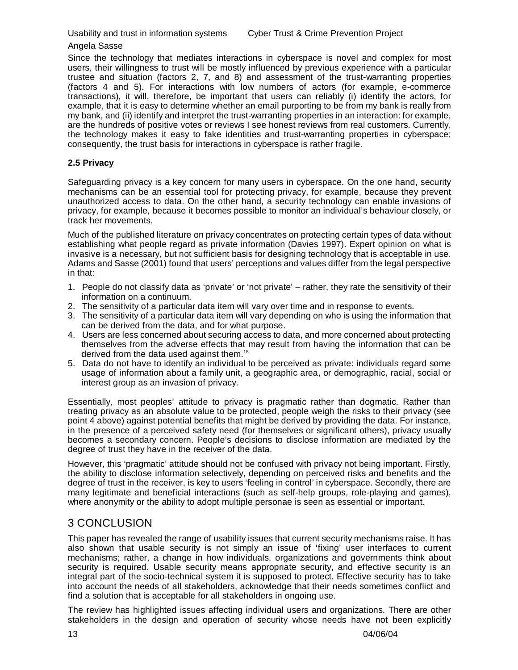### Angela Sasse

Since the technology that mediates interactions in cyberspace is novel and complex for most users, their willingness to trust will be mostly influenced by previous experience with a particular trustee and situation (factors 2, 7, and 8) and assessment of the trust-warranting properties (factors 4 and 5). For interactions with low numbers of actors (for example, e-commerce transactions), it will, therefore, be important that users can reliably (i) identify the actors, for example, that it is easy to determine whether an email purporting to be from my bank is really from my bank, and (ii) identify and interpret the trust-warranting properties in an interaction: for example, are the hundreds of positive votes or reviews I see honest reviews from real customers. Currently, the technology makes it easy to fake identities and trust-warranting properties in cyberspace; consequently, the trust basis for interactions in cyberspace is rather fragile.

# **2.5 Privacy**

Safeguarding privacy is a key concern for many users in cyberspace. On the one hand, security mechanisms can be an essential tool for protecting privacy, for example, because they prevent unauthorized access to data. On the other hand, a security technology can enable invasions of privacy, for example, because it becomes possible to monitor an individual's behaviour closely, or track her movements.

Much of the published literature on privacy concentrates on protecting certain types of data without establishing what people regard as private information (Davies 1997). Expert opinion on what is invasive is a necessary, but not sufficient basis for designing technology that is acceptable in use. Adams and Sasse (2001) found that users' perceptions and values differ from the legal perspective in that:

- 1. People do not classify data as 'private' or 'not private' rather, they rate the sensitivity of their information on a continuum.
- 2. The sensitivity of a particular data item will vary over time and in response to events.
- 3. The sensitivity of a particular data item will vary depending on who is using the information that can be derived from the data, and for what purpose.
- 4. Users are less concerned about securing access to data, and more concerned about protecting themselves from the adverse effects that may result from having the information that can be derived from the data used against them.<sup>18</sup>
- 5. Data do not have to identify an individual to be perceived as private: individuals regard some usage of information about a family unit, a geographic area, or demographic, racial, social or interest group as an invasion of privacy.

Essentially, most peoples' attitude to privacy is pragmatic rather than dogmatic. Rather than treating privacy as an absolute value to be protected, people weigh the risks to their privacy (see point 4 above) against potential benefits that might be derived by providing the data. For instance, in the presence of a perceived safety need (for themselves or significant others), privacy usually becomes a secondary concern. People's decisions to disclose information are mediated by the degree of trust they have in the receiver of the data.

However, this 'pragmatic' attitude should not be confused with privacy not being important. Firstly, the ability to disclose information selectively, depending on perceived risks and benefits and the degree of trust in the receiver, is key to users 'feeling in control' in cyberspace. Secondly, there are many legitimate and beneficial interactions (such as self-help groups, role-playing and games), where anonymity or the ability to adopt multiple personae is seen as essential or important.

# 3 CONCLUSION

This paper has revealed the range of usability issues that current security mechanisms raise. It has also shown that usable security is not simply an issue of 'fixing' user interfaces to current mechanisms; rather, a change in how individuals, organizations and governments think about security is required. Usable security means appropriate security, and effective security is an integral part of the socio-technical system it is supposed to protect. Effective security has to take into account the needs of all stakeholders, acknowledge that their needs sometimes conflict and find a solution that is acceptable for all stakeholders in ongoing use.

The review has highlighted issues affecting individual users and organizations. There are other stakeholders in the design and operation of security whose needs have not been explicitly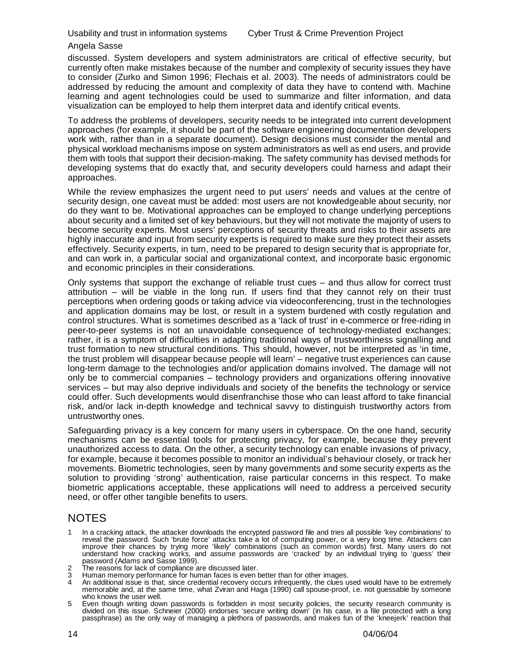### Angela Sasse

discussed. System developers and system administrators are critical of effective security, but currently often make mistakes because of the number and complexity of security issues they have to consider (Zurko and Simon 1996; Flechais et al. 2003). The needs of administrators could be addressed by reducing the amount and complexity of data they have to contend with. Machine learning and agent technologies could be used to summarize and filter information, and data visualization can be employed to help them interpret data and identify critical events.

To address the problems of developers, security needs to be integrated into current development approaches (for example, it should be part of the software engineering documentation developers work with, rather than in a separate document). Design decisions must consider the mental and physical workload mechanisms impose on system administrators as well as end users, and provide them with tools that support their decision-making. The safety community has devised methods for developing systems that do exactly that, and security developers could harness and adapt their approaches.

While the review emphasizes the urgent need to put users' needs and values at the centre of security design, one caveat must be added: most users are not knowledgeable about security, nor do they want to be. Motivational approaches can be employed to change underlying perceptions about security and a limited set of key behaviours, but they will not motivate the majority of users to become security experts. Most users' perceptions of security threats and risks to their assets are highly inaccurate and input from security experts is required to make sure they protect their assets effectively. Security experts, in turn, need to be prepared to design security that is appropriate for, and can work in, a particular social and organizational context, and incorporate basic ergonomic and economic principles in their considerations.

Only systems that support the exchange of reliable trust cues – and thus allow for correct trust attribution – will be viable in the long run. If users find that they cannot rely on their trust perceptions when ordering goods or taking advice via videoconferencing, trust in the technologies and application domains may be lost, or result in a system burdened with costly regulation and control structures. What is sometimes described as a 'lack of trust' in e-commerce or free-riding in peer-to-peer systems is not an unavoidable consequence of technology-mediated exchanges; rather, it is a symptom of difficulties in adapting traditional ways of trustworthiness signalling and trust formation to new structural conditions. This should, however, not be interpreted as 'in time, the trust problem will disappear because people will learn' – negative trust experiences can cause long-term damage to the technologies and/or application domains involved. The damage will not only be to commercial companies – technology providers and organizations offering innovative services – but may also deprive individuals and society of the benefits the technology or service could offer. Such developments would disenfranchise those who can least afford to take financial risk, and/or lack in-depth knowledge and technical savvy to distinguish trustworthy actors from untrustworthy ones.

Safeguarding privacy is a key concern for many users in cyberspace. On the one hand, security mechanisms can be essential tools for protecting privacy, for example, because they prevent unauthorized access to data. On the other, a security technology can enable invasions of privacy, for example, because it becomes possible to monitor an individual's behaviour closely, or track her movements. Biometric technologies, seen by many governments and some security experts as the solution to providing 'strong' authentication, raise particular concerns in this respect. To make biometric applications acceptable, these applications will need to address a perceived security need, or offer other tangible benefits to users.

# NOTES

- 1 In a cracking attack, the attacker downloads the encrypted password file and tries all possible 'key combinations' to reveal the password. Such 'brute force' attacks take a lot of computing power, or a very long time. Attackers can improve their chances by trying more 'likely' combinations (such as common words) first. Many users do not understand how cracking works, and assume passwords are 'cracked' by an individual trying to 'guess' their password (Adams and Sasse 1999).
- 2 The reasons for lack of compliance are discussed later.
- Human memory performance for human faces is even better than for other images.
- An additional issue is that, since credential recovery occurs infrequently, the clues used would have to be extremely memorable and, at the same time, what Zviran and Haga (1990) call spouse-proof, i.e. not guessable by someone who knows the user well.
- 5 Even though writing down passwords is forbidden in most security policies, the security research community is divided on this issue. Schneier (2000) endorses 'secure writing down' (in his case, in a file protected with a long passphrase) as the only way of managing a plethora of passwords, and makes fun of the 'kneejerk' reaction that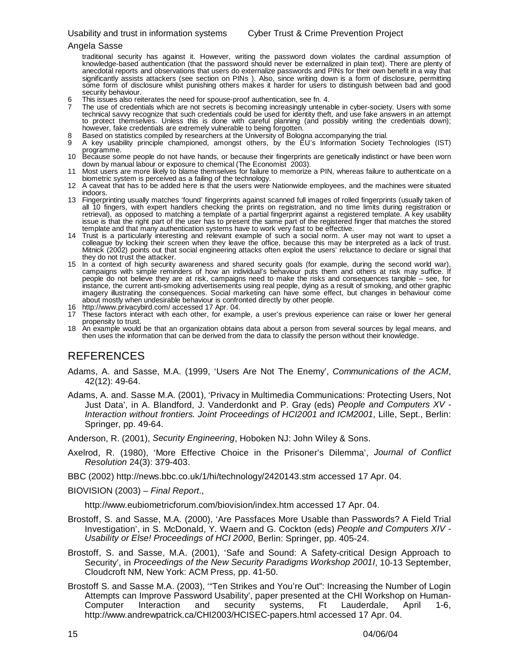#### Angela Sasse

traditional security has against it. However, writing the password down violates the cardinal assumption of knowledge-based authentication (that the password should never be externalized in plain text). There are plenty of anecdotal reports and observations that users do externalize passwords and PINs for their own benefit in a way that significantly assists attackers (see section on PINs ). Also, since writing down is a form of disclosure, permitting some form of disclosure whilst punishing others makes it harder for users to distinguish between bad and good security behaviour.

- 6 This issues also reiterates the need for spouse-proof authentication, see fn. 4.
- 7 The use of credentials which are not secrets is becoming increasingly untenable in cyber-society. Users with some technical savvy recognize that such credentials could be used for identity theft, and use fake answers in an attempt to protect themselves. Unless this is done with careful planning (and possibly writing the credentials down); however, fake credentials are extremely vulnerable to being forgotten.
- 8 Based on statistics compiled by researchers at the University of Bologna accompanying the trial.
- 9 A key usability principle championed, amongst others, by the EU's Information Society Technologies (IST) programme.
- 10 Because some people do not have hands, or because their fingerprints are genetically indistinct or have been worn down by manual labour or exposure to chemical (The Economist 2003).
- 11 Most users are more likely to blame themselves for failure to memorize a PIN, whereas failure to authenticate on a biometric system is perceived as a failing of the technology.
- 12 A caveat that has to be added here is that the users were Nationwide employees, and the machines were situated indoors.
- 13 Fingerprinting usually matches 'found' fingerprints against scanned full images of rolled fingerprints (usually taken of all 10 fingers, with expert handlers checking the prints on registration, and no time limits during registration or retrieval), as opposed to matching a template of a partial fingerprint against a registered template. A key usability issue is that the right part of the user has to present the same part of the registered finger that matches the stored template and that many authentication systems have to work very fast to be effective.
- 14 Trust is a particularly interesting and relevant example of such a social norm. A user may not want to upset a colleague by locking their screen when they leave the office, because this may be interpreted as a lack of trust. Mitnick (2002) points out that social engineering attacks often exploit the users' reluctance to declare or signal that they do not trust the attacker.
- 15 In a context of high security awareness and shared security goals (for example, during the second world war), campaigns with simple reminders of how an individual's behaviour puts them and others at risk may suffice. If people do not believe they are at risk, campaigns need to make the risks and consequences tangible – see, for instance, the current anti-smoking advertisements using real people, dying as a result of smoking, and other graphic imagery illustrating the consequences. Social marketing can have some effect, but changes in behaviour come about mostly when undesirable behaviour is confronted directly by other people.
- 16 http://www.privacybird.com/ accessed 17 Apr. 04.
- 17 These factors interact with each other, for example, a user's previous experience can raise or lower her general propensity to trust.
- 18 An example would be that an organization obtains data about a person from several sources by legal means, and then uses the information that can be derived from the data to classify the person without their knowledge.

# REFERENCES

- Adams, A. and Sasse, M.A. (1999, 'Users Are Not The Enemy', Communications of the ACM, 42(12): 49-64.
- Adams, A. and. Sasse M.A. (2001), 'Privacy in Multimedia Communications: Protecting Users, Not Just Data', in A. Blandford, J. Vanderdonkt and P. Gray (eds) People and Computers XV - Interaction without frontiers. Joint Proceedings of HCI2001 and ICM2001, Lille, Sept., Berlin: Springer, pp. 49-64.

Anderson, R. (2001), Security Engineering, Hoboken NJ: John Wiley & Sons.

- Axelrod, R. (1980), 'More Effective Choice in the Prisoner's Dilemma', Journal of Conflict Resolution 24(3): 379-403.
- BBC (2002) http://news.bbc.co.uk/1/hi/technology/2420143.stm accessed 17 Apr. 04.

BIOVISION (2003) – Final Report.,

http://www.eubiometricforum.com/biovision/index.htm accessed 17 Apr. 04.

- Brostoff, S. and Sasse, M.A. (2000), 'Are Passfaces More Usable than Passwords? A Field Trial Investigation', in S. McDonald, Y. Waern and G. Cockton (eds) People and Computers XIV - Usability or Else! Proceedings of HCI 2000, Berlin: Springer, pp. 405-24.
- Brostoff, S. and Sasse, M.A. (2001), 'Safe and Sound: A Safety-critical Design Approach to Security', in Proceedings of the New Security Paradigms Workshop 2001I, 10-13 September, Cloudcroft NM, New York: ACM Press, pp. 41-50.
- Brostoff S. and Sasse M.A. (2003), '"Ten Strikes and You're Out": Increasing the Number of Login Attempts can Improve Password Usability', paper presented at the CHI Workshop on Human-Computer Interaction and security systems, Ft Lauderdale, April 1-6, http://www.andrewpatrick.ca/CHI2003/HCISEC-papers.html accessed 17 Apr. 04.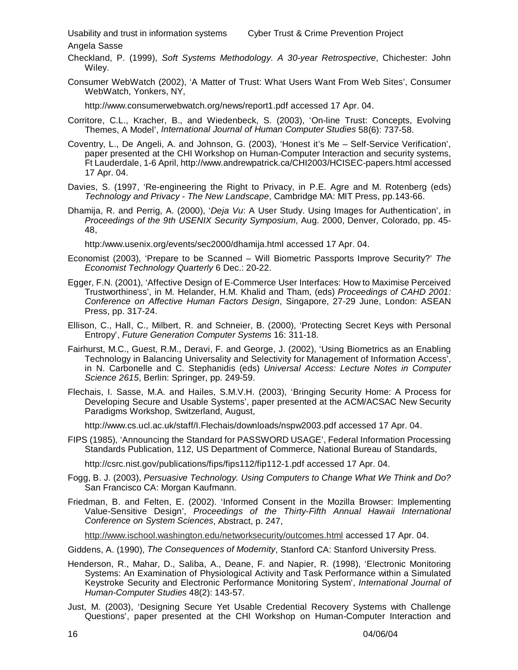- Checkland, P. (1999), Soft Systems Methodology. A 30-year Retrospective, Chichester: John Wiley.
- Consumer WebWatch (2002), 'A Matter of Trust: What Users Want From Web Sites', Consumer WebWatch, Yonkers, NY,

http://www.consumerwebwatch.org/news/report1.pdf accessed 17 Apr. 04.

- Corritore, C.L., Kracher, B., and Wiedenbeck, S. (2003), 'On-line Trust: Concepts, Evolving Themes, A Model', International Journal of Human Computer Studies 58(6): 737-58.
- Coventry, L., De Angeli, A. and Johnson, G. (2003), 'Honest it's Me Self-Service Verification', paper presented at the CHI Workshop on Human-Computer Interaction and security systems, Ft Lauderdale, 1-6 April, http://www.andrewpatrick.ca/CHI2003/HCISEC-papers.html accessed 17 Apr. 04.
- Davies, S. (1997, 'Re-engineering the Right to Privacy, in P.E. Agre and M. Rotenberg (eds) Technology and Privacy - The New Landscape, Cambridge MA: MIT Press, pp.143-66.
- Dhamija, R. and Perrig, A. (2000), 'Deja Vu: A User Study. Using Images for Authentication', in Proceedings of the 9th USENIX Security Symposium, Aug. 2000, Denver, Colorado, pp. 45- 48,

http:/www.usenix.org/events/sec2000/dhamija.html accessed 17 Apr. 04.

- Economist (2003), 'Prepare to be Scanned Will Biometric Passports Improve Security?' The Economist Technology Quarterly 6 Dec.: 20-22.
- Egger, F.N. (2001), 'Affective Design of E-Commerce User Interfaces: How to Maximise Perceived Trustworthiness', in M. Helander, H.M. Khalid and Tham, (eds) Proceedings of CAHD 2001: Conference on Affective Human Factors Design, Singapore, 27-29 June, London: ASEAN Press, pp. 317-24.
- Ellison, C., Hall, C., Milbert, R. and Schneier, B. (2000), 'Protecting Secret Keys with Personal Entropy', Future Generation Computer Systems 16: 311-18.
- Fairhurst, M.C., Guest, R.M., Deravi, F. and George, J. (2002), 'Using Biometrics as an Enabling Technology in Balancing Universality and Selectivity for Management of Information Access', in N. Carbonelle and C. Stephanidis (eds) Universal Access: Lecture Notes in Computer Science 2615, Berlin: Springer, pp. 249-59.
- Flechais, I. Sasse, M.A. and Hailes, S.M.V.H. (2003), 'Bringing Security Home: A Process for Developing Secure and Usable Systems', paper presented at the ACM/ACSAC New Security Paradigms Workshop, Switzerland, August,

http://www.cs.ucl.ac.uk/staff/I.Flechais/downloads/nspw2003.pdf accessed 17 Apr. 04.

FIPS (1985), 'Announcing the Standard for PASSWORD USAGE', Federal Information Processing Standards Publication, 112, US Department of Commerce, National Bureau of Standards,

http://csrc.nist.gov/publications/fips/fips112/fip112-1.pdf accessed 17 Apr. 04.

- Fogg, B. J. (2003), Persuasive Technology. Using Computers to Change What We Think and Do? San Francisco CA: Morgan Kaufmann.
- Friedman, B. and Felten, E. (2002). 'Informed Consent in the Mozilla Browser: Implementing Value-Sensitive Design', Proceedings of the Thirty-Fifth Annual Hawaii International Conference on System Sciences, Abstract, p. 247,

http://www.ischool.washington.edu/networksecurity/outcomes.html accessed 17 Apr. 04.

Giddens, A. (1990), The Consequences of Modernity, Stanford CA: Stanford University Press.

- Henderson, R., Mahar, D., Saliba, A., Deane, F. and Napier, R. (1998), 'Electronic Monitoring Systems: An Examination of Physiological Activity and Task Performance within a Simulated Keystroke Security and Electronic Performance Monitoring System', International Journal of Human-Computer Studies 48(2): 143-57.
- Just, M. (2003), 'Designing Secure Yet Usable Credential Recovery Systems with Challenge Questions', paper presented at the CHI Workshop on Human-Computer Interaction and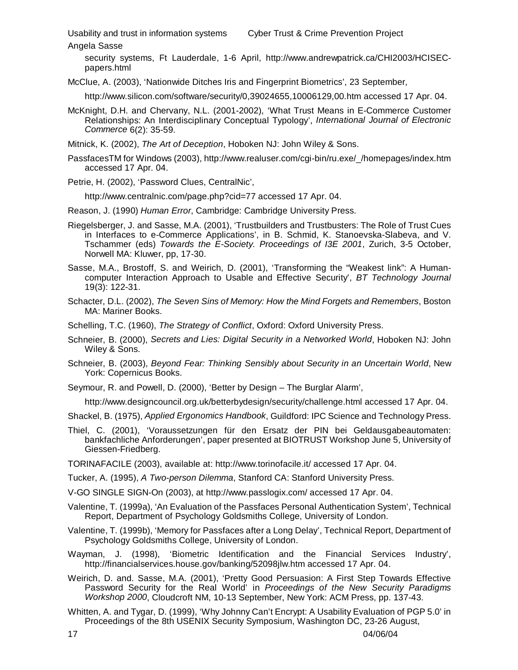Angela Sasse

security systems, Ft Lauderdale, 1-6 April, http://www.andrewpatrick.ca/CHI2003/HCISECpapers.html

McClue, A. (2003), 'Nationwide Ditches Iris and Fingerprint Biometrics', 23 September,

http://www.silicon.com/software/security/0,39024655,10006129,00.htm accessed 17 Apr. 04.

- McKnight, D.H. and Chervany, N.L. (2001-2002), 'What Trust Means in E-Commerce Customer Relationships: An Interdisciplinary Conceptual Typology', International Journal of Electronic Commerce 6(2): 35-59.
- Mitnick, K. (2002), The Art of Deception, Hoboken NJ: John Wiley & Sons.
- PassfacesTM for Windows (2003), http://www.realuser.com/cgi-bin/ru.exe/\_/homepages/index.htm accessed 17 Apr. 04.
- Petrie, H. (2002), 'Password Clues, CentralNic',

http://www.centralnic.com/page.php?cid=77 accessed 17 Apr. 04.

- Reason, J. (1990) Human Error, Cambridge: Cambridge University Press.
- Riegelsberger, J. and Sasse, M.A. (2001), 'Trustbuilders and Trustbusters: The Role of Trust Cues in Interfaces to e-Commerce Applications', in B. Schmid, K. Stanoevska-Slabeva, and V. Tschammer (eds) Towards the E-Society. Proceedings of I3E 2001, Zurich, 3-5 October, Norwell MA: Kluwer, pp, 17-30.
- Sasse, M.A., Brostoff, S. and Weirich, D. (2001), 'Transforming the "Weakest link": A Humancomputer Interaction Approach to Usable and Effective Security', BT Technology Journal 19(3): 122-31.
- Schacter, D.L. (2002), The Seven Sins of Memory: How the Mind Forgets and Remembers, Boston MA: Mariner Books.
- Schelling, T.C. (1960), The Strategy of Conflict, Oxford: Oxford University Press.
- Schneier, B. (2000), Secrets and Lies: Digital Security in a Networked World, Hoboken NJ: John Wiley & Sons.
- Schneier, B. (2003), Beyond Fear: Thinking Sensibly about Security in an Uncertain World, New York: Copernicus Books.
- Seymour, R. and Powell, D. (2000), 'Better by Design The Burglar Alarm',

http://www.designcouncil.org.uk/betterbydesign/security/challenge.html accessed 17 Apr. 04.

Shackel, B. (1975), Applied Ergonomics Handbook, Guildford: IPC Science and Technology Press.

- Thiel, C. (2001), 'Voraussetzungen für den Ersatz der PIN bei Geldausgabeautomaten: bankfachliche Anforderungen', paper presented at BIOTRUST Workshop June 5, University of Giessen-Friedberg.
- TORINAFACILE (2003), available at: http://www.torinofacile.it/ accessed 17 Apr. 04.

Tucker, A. (1995), A Two-person Dilemma, Stanford CA: Stanford University Press.

- V-GO SINGLE SIGN-On (2003), at http://www.passlogix.com/ accessed 17 Apr. 04.
- Valentine, T. (1999a), 'An Evaluation of the Passfaces Personal Authentication System', Technical Report, Department of Psychology Goldsmiths College, University of London.
- Valentine, T. (1999b), 'Memory for Passfaces after a Long Delay', Technical Report, Department of Psychology Goldsmiths College, University of London.
- Wayman, J. (1998), 'Biometric Identification and the Financial Services Industry', http://financialservices.house.gov/banking/52098jlw.htm accessed 17 Apr. 04.
- Weirich, D. and. Sasse, M.A. (2001), 'Pretty Good Persuasion: A First Step Towards Effective Password Security for the Real World' in Proceedings of the New Security Paradigms Workshop 2000, Cloudcroft NM, 10-13 September, New York: ACM Press, pp. 137-43.
- Whitten, A. and Tygar, D. (1999), 'Why Johnny Can't Encrypt: A Usability Evaluation of PGP 5.0' in Proceedings of the 8th USENIX Security Symposium, Washington DC, 23-26 August,